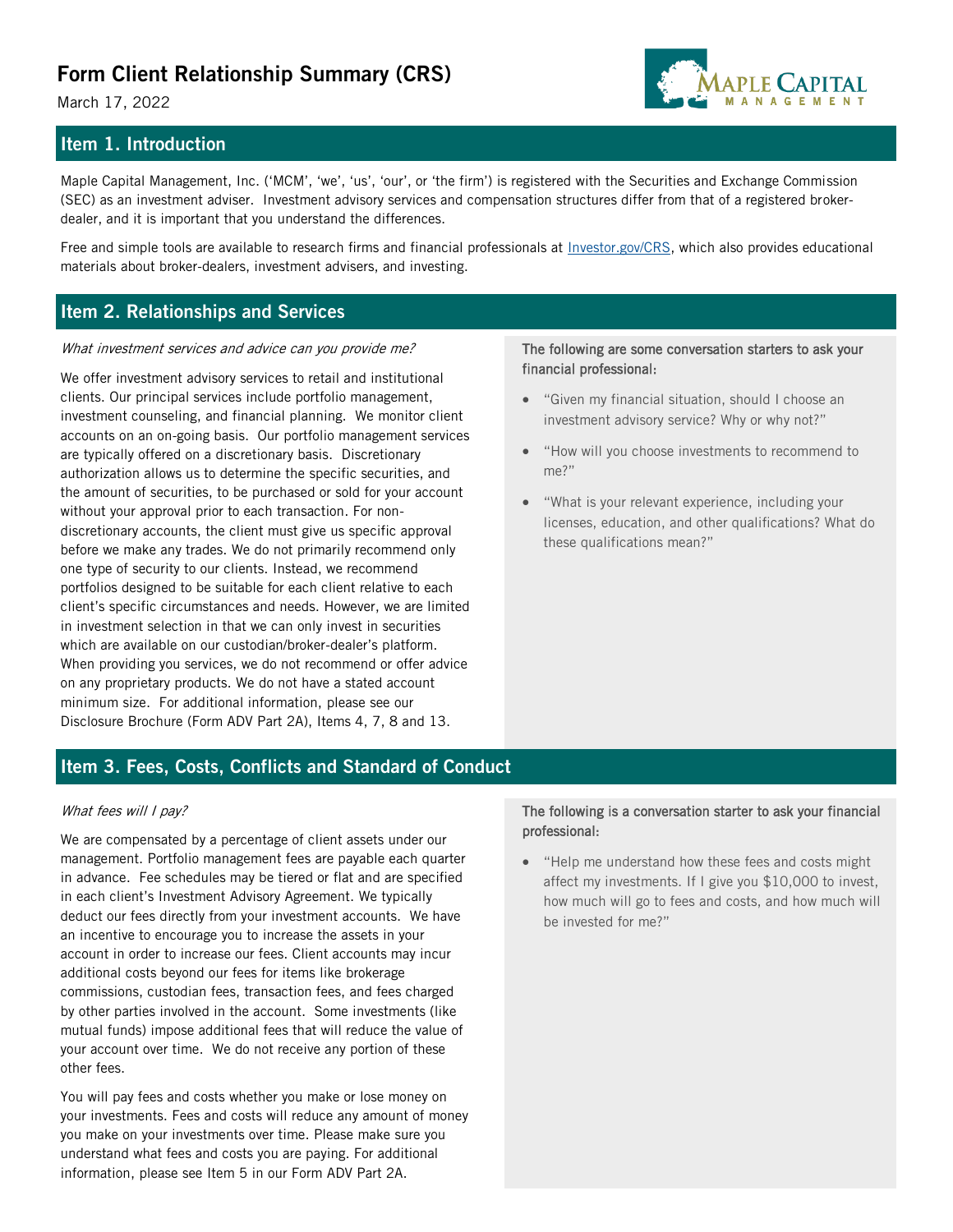# **Form Client Relationship Summary (CRS)**

March 17, 2022

## **Item 1. Introduction**

Maple Capital Management, Inc. ('MCM', 'we', 'us', 'our', or 'the firm') is registered with the Securities and Exchange Commission (SEC) as an investment adviser. Investment advisory services and compensation structures differ from that of a registered brokerdealer, and it is important that you understand the differences.

Free and simple tools are available to research firms and financial professionals at *Investor.gov/CRS*, which also provides educational materials about broker-dealers, investment advisers, and investing.

## **Item 2. Relationships and Services**

#### What investment services and advice can you provide me?

We offer investment advisory services to retail and institutional clients. Our principal services include portfolio management, investment counseling, and financial planning. We monitor client accounts on an on-going basis. Our portfolio management services are typically offered on a discretionary basis. Discretionary authorization allows us to determine the specific securities, and the amount of securities, to be purchased or sold for your account without your approval prior to each transaction. For nondiscretionary accounts, the client must give us specific approval before we make any trades. We do not primarily recommend only one type of security to our clients. Instead, we recommend portfolios designed to be suitable for each client relative to each client's specific circumstances and needs. However, we are limited in investment selection in that we can only invest in securities which are available on our custodian/broker-dealer's platform. When providing you services, we do not recommend or offer advice on any proprietary products. We do not have a stated account minimum size. For additional information, please see our Disclosure Brochure (Form ADV Part 2A), Items 4, 7, 8 and 13.

#### The following are some conversation starters to ask your financial professional:

- "Given my financial situation, should I choose an investment advisory service? Why or why not?"
- "How will you choose investments to recommend to me?"
- "What is your relevant experience, including your licenses, education, and other qualifications? What do these qualifications mean?"

## **Item 3. Fees, Costs, Conflicts and Standard of Conduct**

#### What fees will I pay?

We are compensated by a percentage of client assets under our management. Portfolio management fees are payable each quarter in advance. Fee schedules may be tiered or flat and are specified in each client's Investment Advisory Agreement. We typically deduct our fees directly from your investment accounts. We have an incentive to encourage you to increase the assets in your account in order to increase our fees. Client accounts may incur additional costs beyond our fees for items like brokerage commissions, custodian fees, transaction fees, and fees charged by other parties involved in the account. Some investments (like mutual funds) impose additional fees that will reduce the value of your account over time. We do not receive any portion of these other fees.

You will pay fees and costs whether you make or lose money on your investments. Fees and costs will reduce any amount of money you make on your investments over time. Please make sure you understand what fees and costs you are paying. For additional information, please see Item 5 in our Form ADV Part 2A.

#### The following is a conversation starter to ask your financial professional:

• "Help me understand how these fees and costs might affect my investments. If I give you \$10,000 to invest, how much will go to fees and costs, and how much will be invested for me?"